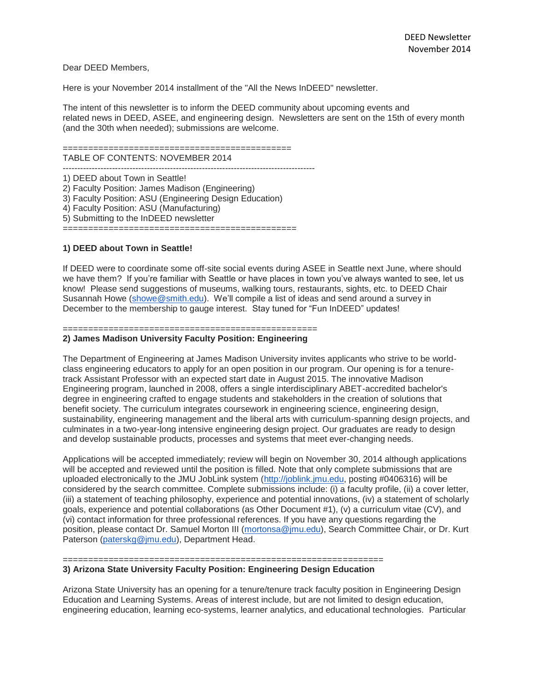Dear DEED Members,

Here is your November 2014 installment of the "All the News InDEED" newsletter.

The intent of this newsletter is to inform the DEED community about upcoming events and related news in DEED, ASEE, and engineering design. Newsletters are sent on the 15th of every month (and the 30th when needed); submissions are welcome.

#### ============================================= TABLE OF CONTENTS: NOVEMBER 2014

--------------------------------------------------------------------------------------- 1) DEED about Town in Seattle!

2) Faculty Position: James Madison (Engineering)

3) Faculty Position: ASU (Engineering Design Education)

4) Faculty Position: ASU (Manufacturing) 5) Submitting to the InDEED newsletter

==============================================

### **1) DEED about Town in Seattle!**

If DEED were to coordinate some off-site social events during ASEE in Seattle next June, where should we have them? If you're familiar with Seattle or have places in town you've always wanted to see, let us know! Please send suggestions of museums, walking tours, restaurants, sights, etc. to DEED Chair Susannah Howe [\(showe@smith.edu\)](mailto:showe@smith.edu). We'll compile a list of ideas and send around a survey in December to the membership to gauge interest. Stay tuned for "Fun InDEED" updates!

### ==================================================

### **2) James Madison University Faculty Position: Engineering**

The Department of Engineering at James Madison University invites applicants who strive to be worldclass engineering educators to apply for an open position in our program. Our opening is for a tenuretrack Assistant Professor with an expected start date in August 2015. The innovative Madison Engineering program, launched in 2008, offers a single interdisciplinary ABET-accredited bachelor's degree in engineering crafted to engage students and stakeholders in the creation of solutions that benefit society. The curriculum integrates coursework in engineering science, engineering design, sustainability, engineering management and the liberal arts with curriculum-spanning design projects, and culminates in a two-year-long intensive engineering design project. Our graduates are ready to design and develop sustainable products, processes and systems that meet ever-changing needs.

Applications will be accepted immediately; review will begin on November 30, 2014 although applications will be accepted and reviewed until the position is filled. Note that only complete submissions that are uploaded electronically to the JMU JobLink system [\(http://joblink.jmu.edu,](http://joblink.jmu.edu/) posting #0406316) will be considered by the search committee. Complete submissions include: (i) a faculty profile, (ii) a cover letter, (iii) a statement of teaching philosophy, experience and potential innovations, (iv) a statement of scholarly goals, experience and potential collaborations (as Other Document #1), (v) a curriculum vitae (CV), and (vi) contact information for three professional references. If you have any questions regarding the position, please contact Dr. Samuel Morton III [\(mortonsa@jmu.edu\)](mailto:mortonsa@jmu.edu), Search Committee Chair, or Dr. Kurt Paterson [\(paterskg@jmu.edu\)](mailto:paterskg@jmu.edu), Department Head.

# ===============================================================

## **3) Arizona State University Faculty Position: Engineering Design Education**

Arizona State University has an opening for a tenure/tenure track faculty position in Engineering Design Education and Learning Systems. Areas of interest include, but are not limited to design education, engineering education, learning eco-systems, learner analytics, and educational technologies. Particular